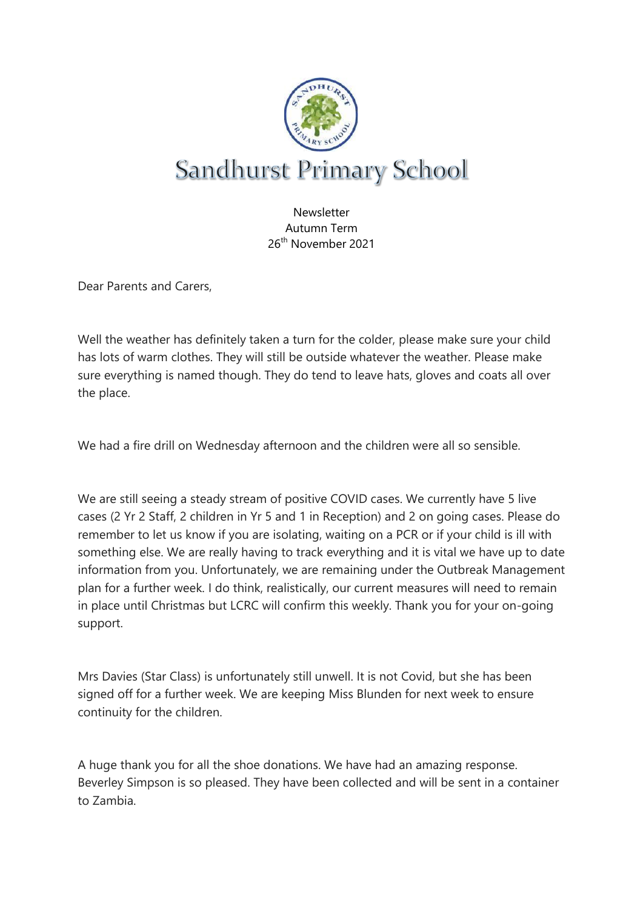

**Newsletter** Autumn Term 26th November 2021

Dear Parents and Carers,

Well the weather has definitely taken a turn for the colder, please make sure your child has lots of warm clothes. They will still be outside whatever the weather. Please make sure everything is named though. They do tend to leave hats, gloves and coats all over the place.

We had a fire drill on Wednesday afternoon and the children were all so sensible.

We are still seeing a steady stream of positive COVID cases. We currently have 5 live cases (2 Yr 2 Staff, 2 children in Yr 5 and 1 in Reception) and 2 on going cases. Please do remember to let us know if you are isolating, waiting on a PCR or if your child is ill with something else. We are really having to track everything and it is vital we have up to date information from you. Unfortunately, we are remaining under the Outbreak Management plan for a further week. I do think, realistically, our current measures will need to remain in place until Christmas but LCRC will confirm this weekly. Thank you for your on-going support.

Mrs Davies (Star Class) is unfortunately still unwell. It is not Covid, but she has been signed off for a further week. We are keeping Miss Blunden for next week to ensure continuity for the children.

A huge thank you for all the shoe donations. We have had an amazing response. Beverley Simpson is so pleased. They have been collected and will be sent in a container to Zambia.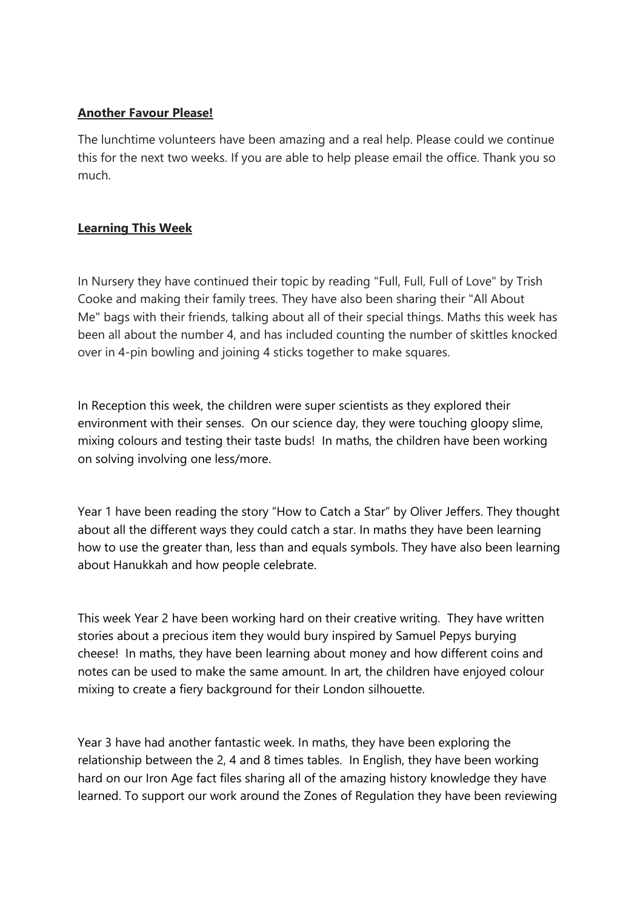## **Another Favour Please!**

The lunchtime volunteers have been amazing and a real help. Please could we continue this for the next two weeks. If you are able to help please email the office. Thank you so much.

# **Learning This Week**

In Nursery they have continued their topic by reading "Full, Full, Full of Love" by Trish Cooke and making their family trees. They have also been sharing their "All About Me" bags with their friends, talking about all of their special things. Maths this week has been all about the number 4, and has included counting the number of skittles knocked over in 4-pin bowling and joining 4 sticks together to make squares.

In Reception this week, the children were super scientists as they explored their environment with their senses. On our science day, they were touching gloopy slime, mixing colours and testing their taste buds! In maths, the children have been working on solving involving one less/more.

Year 1 have been reading the story "How to Catch a Star" by Oliver Jeffers. They thought about all the different ways they could catch a star. In maths they have been learning how to use the greater than, less than and equals symbols. They have also been learning about Hanukkah and how people celebrate.

This week Year 2 have been working hard on their creative writing. They have written stories about a precious item they would bury inspired by Samuel Pepys burying cheese! In maths, they have been learning about money and how different coins and notes can be used to make the same amount. In art, the children have enjoyed colour mixing to create a fiery background for their London silhouette.

Year 3 have had another fantastic week. In maths, they have been exploring the relationship between the 2, 4 and 8 times tables. In English, they have been working hard on our Iron Age fact files sharing all of the amazing history knowledge they have learned. To support our work around the Zones of Regulation they have been reviewing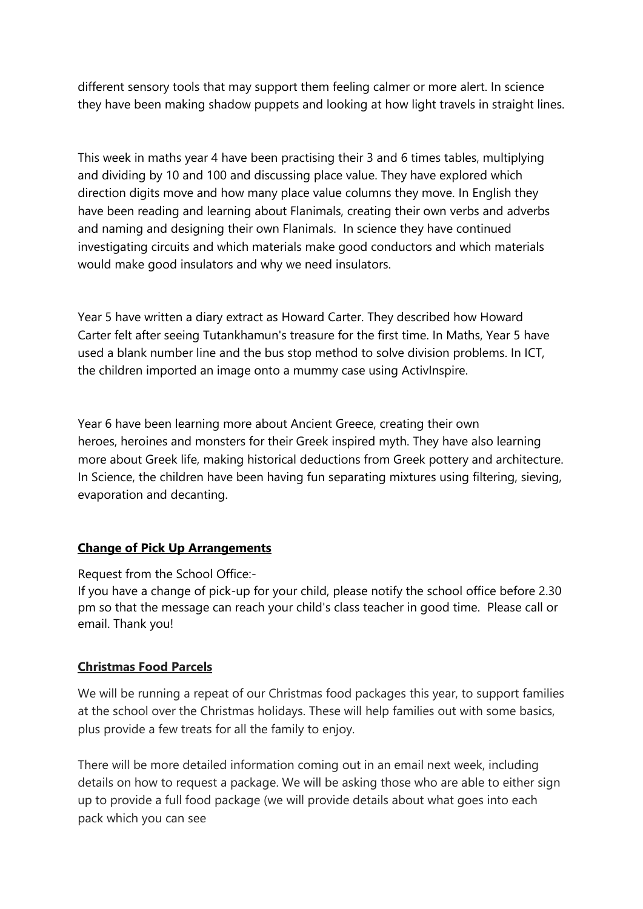different sensory tools that may support them feeling calmer or more alert. In science they have been making shadow puppets and looking at how light travels in straight lines.

This week in maths year 4 have been practising their 3 and 6 times tables, multiplying and dividing by 10 and 100 and discussing place value. They have explored which direction digits move and how many place value columns they move. In English they have been reading and learning about Flanimals, creating their own verbs and adverbs and naming and designing their own Flanimals. In science they have continued investigating circuits and which materials make good conductors and which materials would make good insulators and why we need insulators.

Year 5 have written a diary extract as Howard Carter. They described how Howard Carter felt after seeing Tutankhamun's treasure for the first time. In Maths, Year 5 have used a blank number line and the bus stop method to solve division problems. In ICT, the children imported an image onto a mummy case using ActivInspire.

Year 6 have been learning more about Ancient Greece, creating their own heroes, heroines and monsters for their Greek inspired myth. They have also learning more about Greek life, making historical deductions from Greek pottery and architecture. In Science, the children have been having fun separating mixtures using filtering, sieving, evaporation and decanting.

# **Change of Pick Up Arrangements**

Request from the School Office:-

If you have a change of pick-up for your child, please notify the school office before 2.30 pm so that the message can reach your child's class teacher in good time. Please call or email. Thank you!

# **Christmas Food Parcels**

We will be running a repeat of our Christmas food packages this year, to support families at the school over the Christmas holidays. These will help families out with some basics, plus provide a few treats for all the family to enjoy.

There will be more detailed information coming out in an email next week, including details on how to request a package. We will be asking those who are able to either sign up to provide a full food package (we will provide details about what goes into each pack which you can see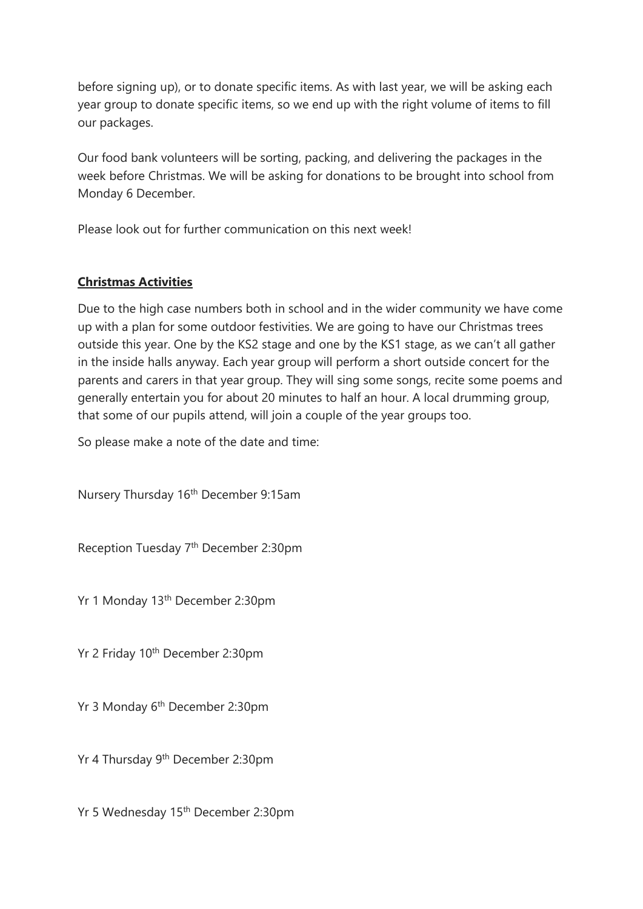before signing up), or to donate specific items. As with last year, we will be asking each year group to donate specific items, so we end up with the right volume of items to fill our packages.

Our food bank volunteers will be sorting, packing, and delivering the packages in the week before Christmas. We will be asking for donations to be brought into school from Monday 6 December.

Please look out for further communication on this next week!

# **Christmas Activities**

Due to the high case numbers both in school and in the wider community we have come up with a plan for some outdoor festivities. We are going to have our Christmas trees outside this year. One by the KS2 stage and one by the KS1 stage, as we can't all gather in the inside halls anyway. Each year group will perform a short outside concert for the parents and carers in that year group. They will sing some songs, recite some poems and generally entertain you for about 20 minutes to half an hour. A local drumming group, that some of our pupils attend, will join a couple of the year groups too.

So please make a note of the date and time:

Nursery Thursday 16<sup>th</sup> December 9:15am

Reception Tuesday 7<sup>th</sup> December 2:30pm

Yr 1 Monday 13th December 2:30pm

Yr 2 Friday 10<sup>th</sup> December 2:30pm

Yr 3 Monday 6<sup>th</sup> December 2:30pm

Yr 4 Thursday 9th December 2:30pm

Yr 5 Wednesday 15th December 2:30pm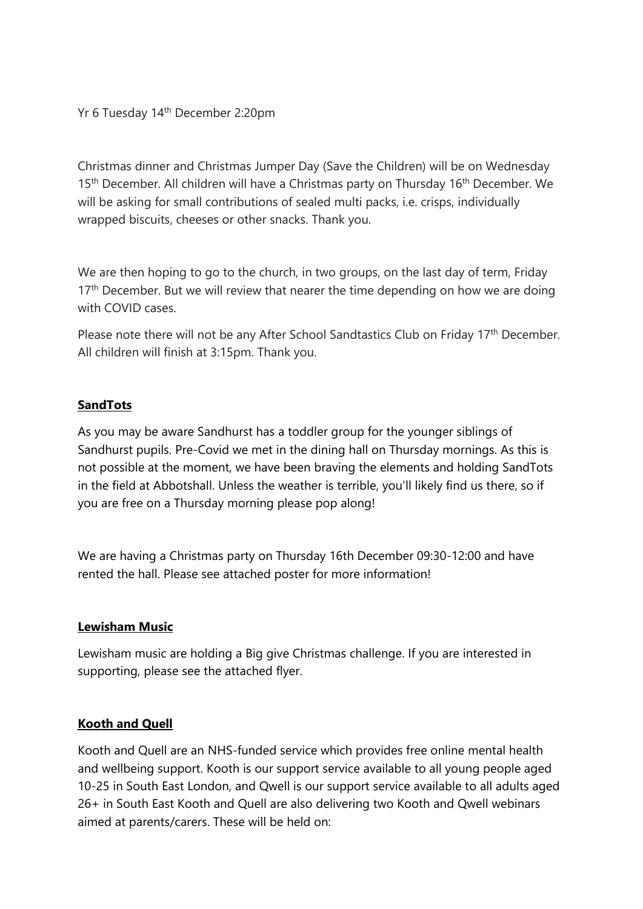Yr 6 Tuesday 14th December 2:20pm

Christmas dinner and Christmas Jumper Day (Save the Children) will be on Wednesday 15<sup>th</sup> December. All children will have a Christmas party on Thursday 16<sup>th</sup> December. We will be asking for small contributions of sealed multi packs, i.e. crisps, individually wrapped biscuits, cheeses or other snacks. Thank you.

We are then hoping to go to the church, in two groups, on the last day of term, Friday  $17<sup>th</sup>$  December. But we will review that nearer the time depending on how we are doing with COVID cases.

Please note there will not be any After School Sandtastics Club on Friday 17<sup>th</sup> December. All children will finish at 3:15pm. Thank you.

## **SandTots**

As you may be aware Sandhurst has a toddler group for the younger siblings of Sandhurst pupils. Pre-Covid we met in the dining hall on Thursday mornings. As this is not possible at the moment, we have been braving the elements and holding SandTots in the field at Abbotshall. Unless the weather is terrible, you'll likely find us there, so if you are free on a Thursday morning please pop along!

We are having a Christmas party on Thursday 16th December 09:30-12:00 and have rented the hall. Please see attached poster for more information!

#### **Lewisham Music**

Lewisham music are holding a Big give Christmas challenge. If you are interested in supporting, please see the attached flyer.

### **Kooth and Quell**

Kooth and Quell are an NHS-funded service which provides free online mental health and wellbeing support. Kooth is our support service available to all young people aged 10-25 in South East London, and Qwell is our support service available to all adults aged 26+ in South East Kooth and Quell are also delivering two Kooth and Qwell webinars aimed at parents/carers. These will be held on: